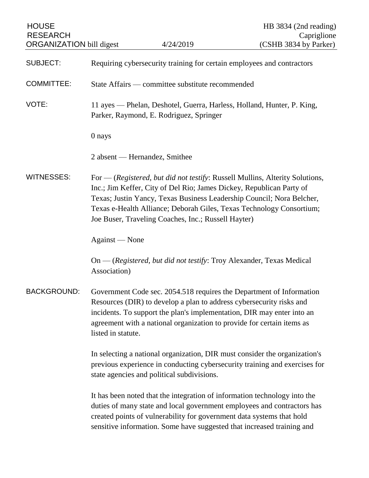| <b>HOUSE</b><br><b>RESEARCH</b><br><b>ORGANIZATION</b> bill digest |                                                                                                                                                                                                        | 4/24/2019                                                                                                                                      | HB 3834 (2nd reading)<br>Capriglione<br>(CSHB 3834 by Parker)                                                                                                                                                                   |
|--------------------------------------------------------------------|--------------------------------------------------------------------------------------------------------------------------------------------------------------------------------------------------------|------------------------------------------------------------------------------------------------------------------------------------------------|---------------------------------------------------------------------------------------------------------------------------------------------------------------------------------------------------------------------------------|
| <b>SUBJECT:</b>                                                    | Requiring cybersecurity training for certain employees and contractors                                                                                                                                 |                                                                                                                                                |                                                                                                                                                                                                                                 |
| <b>COMMITTEE:</b>                                                  | State Affairs — committee substitute recommended                                                                                                                                                       |                                                                                                                                                |                                                                                                                                                                                                                                 |
| VOTE:                                                              | 11 ayes — Phelan, Deshotel, Guerra, Harless, Holland, Hunter, P. King,<br>Parker, Raymond, E. Rodriguez, Springer                                                                                      |                                                                                                                                                |                                                                                                                                                                                                                                 |
|                                                                    | 0 nays                                                                                                                                                                                                 |                                                                                                                                                |                                                                                                                                                                                                                                 |
|                                                                    |                                                                                                                                                                                                        | 2 absent — Hernandez, Smithee                                                                                                                  |                                                                                                                                                                                                                                 |
| <b>WITNESSES:</b>                                                  |                                                                                                                                                                                                        | Inc.; Jim Keffer, City of Del Rio; James Dickey, Republican Party of<br>Joe Buser, Traveling Coaches, Inc.; Russell Hayter)                    | For $-$ (Registered, but did not testify: Russell Mullins, Alterity Solutions,<br>Texas; Justin Yancy, Texas Business Leadership Council; Nora Belcher,<br>Texas e-Health Alliance; Deborah Giles, Texas Technology Consortium; |
|                                                                    | Against — None                                                                                                                                                                                         |                                                                                                                                                |                                                                                                                                                                                                                                 |
|                                                                    | Association)                                                                                                                                                                                           |                                                                                                                                                | On — (Registered, but did not testify: Troy Alexander, Texas Medical                                                                                                                                                            |
| <b>BACKGROUND:</b>                                                 | listed in statute.                                                                                                                                                                                     | Resources (DIR) to develop a plan to address cybersecurity risks and<br>agreement with a national organization to provide for certain items as | Government Code sec. 2054.518 requires the Department of Information<br>incidents. To support the plan's implementation, DIR may enter into an                                                                                  |
|                                                                    | In selecting a national organization, DIR must consider the organization's<br>previous experience in conducting cybersecurity training and exercises for<br>state agencies and political subdivisions. |                                                                                                                                                |                                                                                                                                                                                                                                 |
|                                                                    |                                                                                                                                                                                                        | created points of vulnerability for government data systems that hold                                                                          | It has been noted that the integration of information technology into the<br>duties of many state and local government employees and contractors has<br>sensitive information. Some have suggested that increased training and  |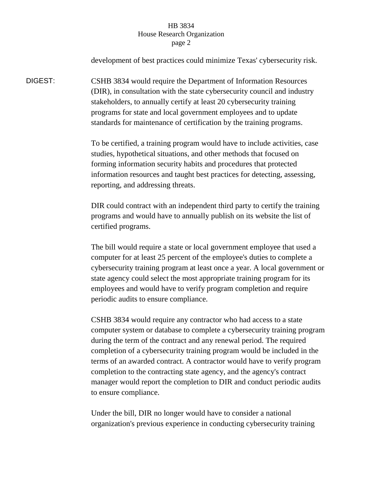## HB 3834 House Research Organization page 2

development of best practices could minimize Texas' cybersecurity risk. DIGEST: CSHB 3834 would require the Department of Information Resources (DIR), in consultation with the state cybersecurity council and industry stakeholders, to annually certify at least 20 cybersecurity training programs for state and local government employees and to update standards for maintenance of certification by the training programs. To be certified, a training program would have to include activities, case studies, hypothetical situations, and other methods that focused on forming information security habits and procedures that protected information resources and taught best practices for detecting, assessing, reporting, and addressing threats. DIR could contract with an independent third party to certify the training programs and would have to annually publish on its website the list of certified programs. The bill would require a state or local government employee that used a computer for at least 25 percent of the employee's duties to complete a cybersecurity training program at least once a year. A local government or state agency could select the most appropriate training program for its employees and would have to verify program completion and require periodic audits to ensure compliance. CSHB 3834 would require any contractor who had access to a state computer system or database to complete a cybersecurity training program during the term of the contract and any renewal period. The required completion of a cybersecurity training program would be included in the terms of an awarded contract. A contractor would have to verify program completion to the contracting state agency, and the agency's contract manager would report the completion to DIR and conduct periodic audits to ensure compliance.

> Under the bill, DIR no longer would have to consider a national organization's previous experience in conducting cybersecurity training